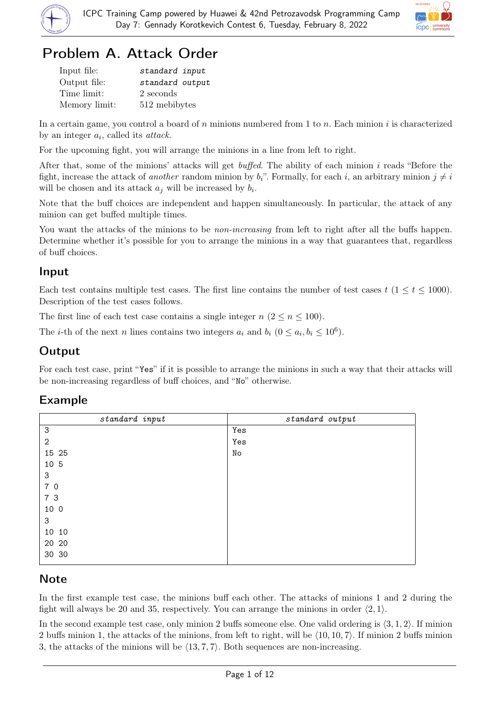



# Problem A. Attack Order

| Input file:   | standard input  |
|---------------|-----------------|
| Output file:  | standard output |
| Time limit:   | 2 seconds       |
| Memory limit: | 512 mebibytes   |

In a certain game, you control a board of n minions numbered from 1 to n. Each minion i is characterized by an integer  $a_i$ , called its *attack*.

For the upcoming fight, you will arrange the minions in a line from left to right.

After that, some of the minions' attacks will get buffed. The ability of each minion i reads "Before the fight, increase the attack of *another* random minion by  $b_i$ ". Formally, for each i, an arbitrary minion  $j \neq i$ will be chosen and its attack  $a_j$  will be increased by  $b_i$ .

Note that the buff choices are independent and happen simultaneously. In particular, the attack of any minion can get buffed multiple times.

You want the attacks of the minions to be *non-increasing* from left to right after all the buffs happen. Determine whether it's possible for you to arrange the minions in a way that guarantees that, regardless of buff choices.

## Input

Each test contains multiple test cases. The first line contains the number of test cases  $t$  (1  $\le t \le 1000$ ). Description of the test cases follows.

The first line of each test case contains a single integer  $n (2 \le n \le 100)$ .

The *i*-th of the next *n* lines contains two integers  $a_i$  and  $b_i$  ( $0 \le a_i, b_i \le 10^6$ ).

## **Output**

For each test case, print "Yes" if it is possible to arrange the minions in such a way that their attacks will be non-increasing regardless of buff choices, and "No" otherwise.

## Example

| $standard$ input | standard output |
|------------------|-----------------|
| $\sqrt{3}$       | Yes             |
| $\mathbf{2}$     | Yes             |
| 15 25            | No              |
| 10 5             |                 |
| 3                |                 |
| 7 0              |                 |
| 7 3              |                 |
| 10 0             |                 |
| 3                |                 |
| 10 10            |                 |
| 20 20            |                 |
| 30 30            |                 |

## **Note**

In the first example test case, the minions buff each other. The attacks of minions 1 and 2 during the fight will always be 20 and 35, respectively. You can arrange the minions in order  $\langle 2, 1 \rangle$ .

In the second example test case, only minion 2 buffs someone else. One valid ordering is  $\langle 3, 1, 2 \rangle$ . If minion 2 buffs minion 1, the attacks of the minions, from left to right, will be  $\langle 10, 10, 7 \rangle$ . If minion 2 buffs minion 3, the attacks of the minions will be  $\langle 13, 7, 7 \rangle$ . Both sequences are non-increasing.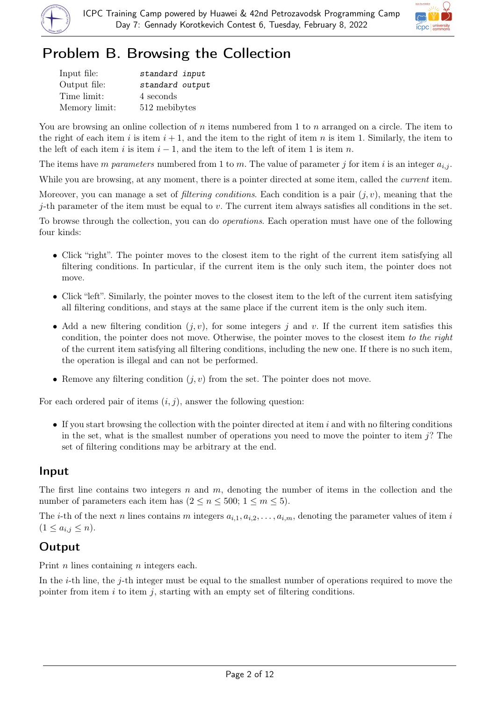



# Problem B. Browsing the Collection

| Input file:   | standard input  |
|---------------|-----------------|
| Output file:  | standard output |
| Time limit:   | 4 seconds       |
| Memory limit: | 512 mebibytes   |

You are browsing an online collection of n items numbered from 1 to n arranged on a circle. The item to the right of each item i is item  $i + 1$ , and the item to the right of item n is item 1. Similarly, the item to the left of each item i is item  $i - 1$ , and the item to the left of item 1 is item n.

The items have m parameters numbered from 1 to m. The value of parameter j for item i is an integer  $a_{i,j}$ .

While you are browsing, at any moment, there is a pointer directed at some item, called the *current* item.

Moreover, you can manage a set of *filtering conditions*. Each condition is a pair  $(j, v)$ , meaning that the j-th parameter of the item must be equal to  $v$ . The current item always satisfies all conditions in the set.

To browse through the collection, you can do operations. Each operation must have one of the following four kinds:

- Click "right". The pointer moves to the closest item to the right of the current item satisfying all filtering conditions. In particular, if the current item is the only such item, the pointer does not move.
- Click "left". Similarly, the pointer moves to the closest item to the left of the current item satisfying all filtering conditions, and stays at the same place if the current item is the only such item.
- Add a new filtering condition  $(j, v)$ , for some integers j and v. If the current item satisfies this condition, the pointer does not move. Otherwise, the pointer moves to the closest item to the right of the current item satisfying all filtering conditions, including the new one. If there is no such item, the operation is illegal and can not be performed.
- Remove any filtering condition  $(j, v)$  from the set. The pointer does not move.

For each ordered pair of items  $(i, j)$ , answer the following question:

• If you start browsing the collection with the pointer directed at item i and with no filtering conditions in the set, what is the smallest number of operations you need to move the pointer to item j? The set of filtering conditions may be arbitrary at the end.

## Input

The first line contains two integers n and m, denoting the number of items in the collection and the number of parameters each item has  $(2 \le n \le 500; 1 \le m \le 5)$ .

The *i*-th of the next *n* lines contains *m* integers  $a_{i,1}, a_{i,2}, \ldots, a_{i,m}$ , denoting the parameter values of item *i*  $(1 \le a_{i,j} \le n).$ 

## **Output**

Print *n* lines containing *n* integers each.

In the *i*-th line, the *j*-th integer must be equal to the smallest number of operations required to move the pointer from item  $i$  to item  $j$ , starting with an empty set of filtering conditions.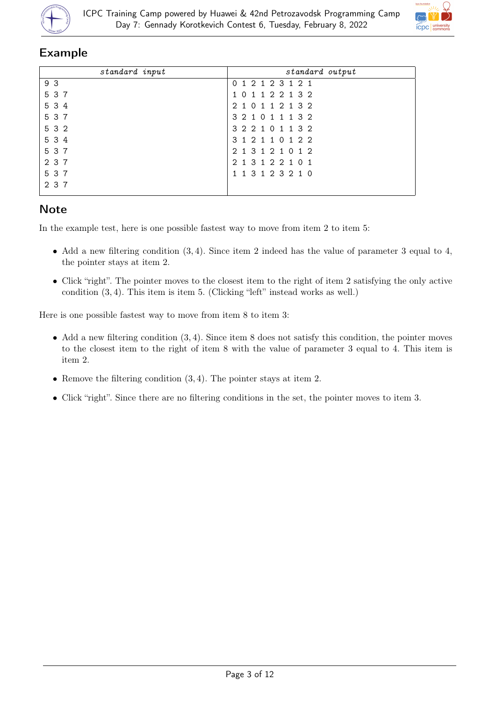



## Example

| standard input | standard output   |
|----------------|-------------------|
| 9 3            | 0 1 2 1 2 3 1 2 1 |
| 5 3 7          | 1 0 1 1 2 2 1 3 2 |
| 5 3 4          | 2 1 0 1 1 2 1 3 2 |
| 5 3 7          | 3 2 1 0 1 1 1 3 2 |
| 5 3 2          | 3 2 2 1 0 1 1 3 2 |
| 5 3 4          | 3 1 2 1 1 0 1 2 2 |
| 5 3 7          | 2 1 3 1 2 1 0 1 2 |
| 2 3 7          | 2 1 3 1 2 2 1 0 1 |
| 5 3 7          | 1 1 3 1 2 3 2 1 0 |
| 2 3 7          |                   |

## **Note**

In the example test, here is one possible fastest way to move from item 2 to item 5:

- Add a new filtering condition  $(3, 4)$ . Since item 2 indeed has the value of parameter 3 equal to 4, the pointer stays at item 2.
- Click "right". The pointer moves to the closest item to the right of item 2 satisfying the only active condition (3, 4). This item is item 5. (Clicking "left" instead works as well.)

Here is one possible fastest way to move from item 8 to item 3:

- Add a new filtering condition  $(3, 4)$ . Since item 8 does not satisfy this condition, the pointer moves to the closest item to the right of item 8 with the value of parameter 3 equal to 4. This item is item 2.
- Remove the filtering condition  $(3, 4)$ . The pointer stays at item 2.
- Click "right". Since there are no filtering conditions in the set, the pointer moves to item 3.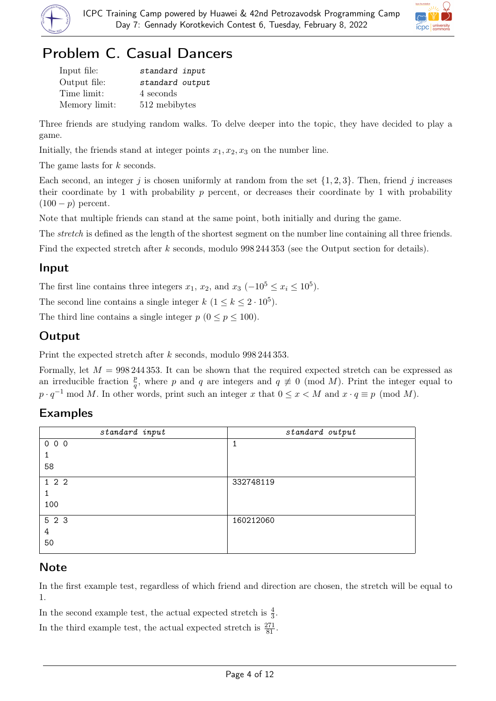



# Problem C. Casual Dancers

| Input file:   | standard input  |
|---------------|-----------------|
| Output file:  | standard output |
| Time limit:   | 4 seconds       |
| Memory limit: | 512 mebibytes   |

Three friends are studying random walks. To delve deeper into the topic, they have decided to play a game.

Initially, the friends stand at integer points  $x_1, x_2, x_3$  on the number line.

The game lasts for k seconds.

Each second, an integer j is chosen uniformly at random from the set  $\{1, 2, 3\}$ . Then, friend j increases their coordinate by 1 with probability  $p$  percent, or decreases their coordinate by 1 with probability  $(100 - p)$  percent.

Note that multiple friends can stand at the same point, both initially and during the game.

The *stretch* is defined as the length of the shortest segment on the number line containing all three friends.

Find the expected stretch after k seconds, modulo 998 244 353 (see the Output section for details).

### Input

The first line contains three integers  $x_1, x_2$ , and  $x_3$  ( $-10^5 \le x_i \le 10^5$ ).

The second line contains a single integer  $k$   $(1 \leq k \leq 2 \cdot 10^5)$ .

The third line contains a single integer  $p (0 \le p \le 100)$ .

## Output

Print the expected stretch after k seconds, modulo 998 244 353.

Formally, let  $M = 998\,244\,353$ . It can be shown that the required expected stretch can be expressed as an irreducible fraction  $\frac{p}{q}$ , where p and q are integers and  $q \neq 0 \pmod{M}$ . Print the integer equal to  $p \cdot q^{-1} \mod M$ . In other words, print such an integer x that  $0 \leq x < M$  and  $x \cdot q \equiv p \pmod{M}$ .

## Examples

| standard input | standard output |
|----------------|-----------------|
| 000            | ᅩ               |
|                |                 |
| 58             |                 |
| 122            | 332748119       |
| 1              |                 |
| 100            |                 |
| 5 2 3          | 160212060       |
| 4              |                 |
| 50             |                 |

## **Note**

In the first example test, regardless of which friend and direction are chosen, the stretch will be equal to 1.

In the second example test, the actual expected stretch is  $\frac{4}{3}$ .

In the third example test, the actual expected stretch is  $\frac{271}{81}$ .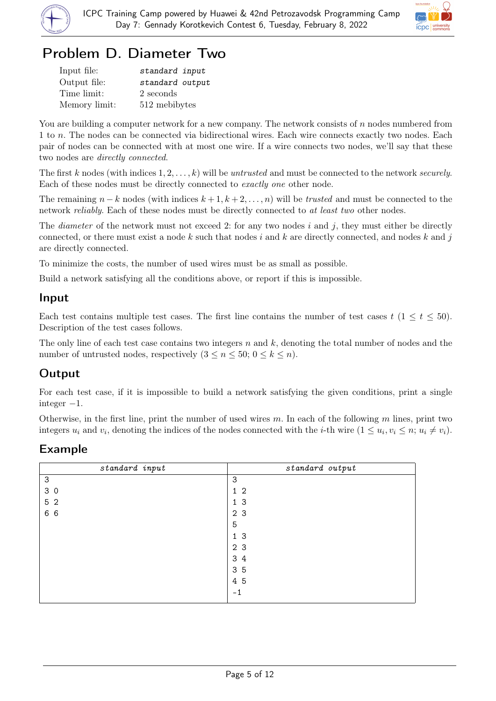



# Problem D. Diameter Two

| Input file:   | standard input  |
|---------------|-----------------|
| Output file:  | standard output |
| Time limit:   | 2 seconds       |
| Memory limit: | 512 mebibytes   |

You are building a computer network for a new company. The network consists of  $n$  nodes numbered from 1 to n. The nodes can be connected via bidirectional wires. Each wire connects exactly two nodes. Each pair of nodes can be connected with at most one wire. If a wire connects two nodes, we'll say that these two nodes are directly connected.

The first k nodes (with indices  $1, 2, \ldots, k$ ) will be untrusted and must be connected to the network securely. Each of these nodes must be directly connected to exactly one other node.

The remaining  $n - k$  nodes (with indices  $k + 1, k + 2, \ldots, n$ ) will be *trusted* and must be connected to the network *reliably*. Each of these nodes must be directly connected to at least two other nodes.

The *diameter* of the network must not exceed 2: for any two nodes i and j, they must either be directly connected, or there must exist a node k such that nodes i and k are directly connected, and nodes k and j are directly connected.

To minimize the costs, the number of used wires must be as small as possible.

Build a network satisfying all the conditions above, or report if this is impossible.

## Input

Each test contains multiple test cases. The first line contains the number of test cases  $t$  (1  $\le t \le 50$ ). Description of the test cases follows.

The only line of each test case contains two integers n and k, denoting the total number of nodes and the number of untrusted nodes, respectively  $(3 \leq n \leq 50; 0 \leq k \leq n)$ .

## Output

For each test case, if it is impossible to build a network satisfying the given conditions, print a single integer  $-1$ .

Otherwise, in the first line, print the number of used wires m. In each of the following m lines, print two integers  $u_i$  and  $v_i$ , denoting the indices of the nodes connected with the *i*-th wire  $(1 \le u_i, v_i \le n; u_i \ne v_i)$ .

## Example

| standard input | standard output |
|----------------|-----------------|
| $\sqrt{3}$     | 3               |
| 30             | $1\,2$          |
| 5 2            | 1 <sub>3</sub>  |
| 6 6            | 2 3             |
|                | 5               |
|                | 1 <sub>3</sub>  |
|                | 2 3             |
|                | 3 4             |
|                | 35              |
|                | 4 5             |
|                | $-1$            |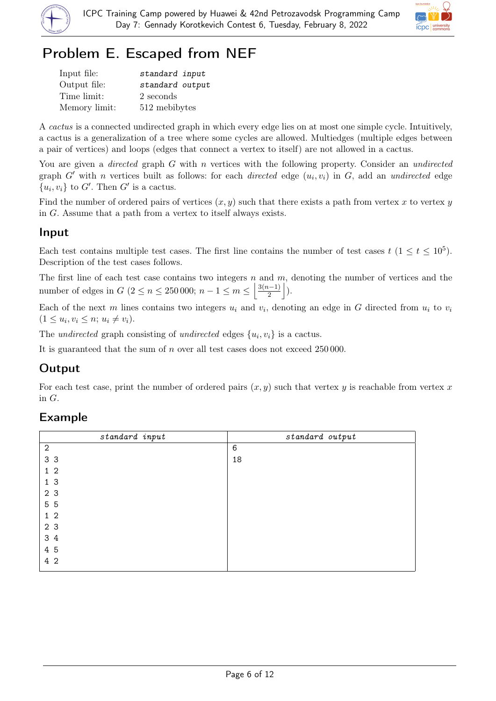



# Problem E. Escaped from NEF

| Input file:   | standard input  |
|---------------|-----------------|
| Output file:  | standard output |
| Time limit:   | 2 seconds       |
| Memory limit: | 512 mebibytes   |

A cactus is a connected undirected graph in which every edge lies on at most one simple cycle. Intuitively, a cactus is a generalization of a tree where some cycles are allowed. Multiedges (multiple edges between a pair of vertices) and loops (edges that connect a vertex to itself) are not allowed in a cactus.

You are given a *directed* graph  $G$  with  $n$  vertices with the following property. Consider an *undirected* graph  $G'$  with n vertices built as follows: for each *directed* edge  $(u_i, v_i)$  in  $G$ , add an *undirected* edge  ${u_i, v_i}$  to G'. Then G' is a cactus.

Find the number of ordered pairs of vertices  $(x, y)$  such that there exists a path from vertex x to vertex y in G. Assume that a path from a vertex to itself always exists.

## Input

Each test contains multiple test cases. The first line contains the number of test cases  $t$  ( $1 \le t \le 10^5$ ). Description of the test cases follows.

The first line of each test case contains two integers  $n$  and  $m$ , denoting the number of vertices and the number of edges in  $G$  ( $2 \le n \le 250000; n - 1 \le m \le \left\lfloor \frac{3(n-1)}{2} \right\rfloor$  $\frac{\binom{n-1}{2}}{2}$ .

Each of the next m lines contains two integers  $u_i$  and  $v_i$ , denoting an edge in G directed from  $u_i$  to  $v_i$  $(1 \leq u_i, v_i \leq n; u_i \neq v_i).$ 

The undirected graph consisting of undirected edges  $\{u_i, v_i\}$  is a cactus.

It is guaranteed that the sum of n over all test cases does not exceed 250 000.

## Output

For each test case, print the number of ordered pairs  $(x, y)$  such that vertex y is reachable from vertex x in G.

## Example

| standard output |
|-----------------|
| 6               |
| 18              |
|                 |
|                 |
|                 |
|                 |
|                 |
|                 |
|                 |
|                 |
|                 |
|                 |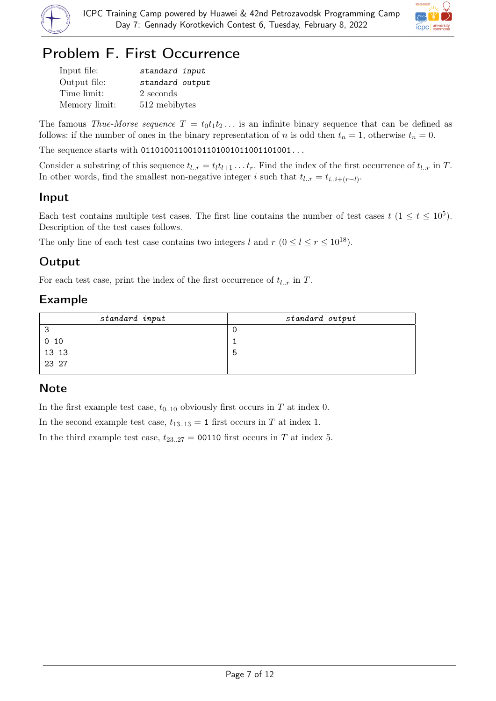



# Problem F. First Occurrence

| Input file:   | standard input  |
|---------------|-----------------|
| Output file:  | standard output |
| Time limit:   | 2 seconds       |
| Memory limit: | 512 mebibytes   |

The famous Thue-Morse sequence  $T = t_0 t_1 t_2 \dots$  is an infinite binary sequence that can be defined as follows: if the number of ones in the binary representation of n is odd then  $t_n = 1$ , otherwise  $t_n = 0$ .

The sequence starts with 011010011001011010010110011001011...

Consider a substring of this sequence  $t_{l..r} = t_l t_{l+1} \ldots t_r$ . Find the index of the first occurrence of  $t_{l..r}$  in T. In other words, find the smallest non-negative integer i such that  $t_{l..r} = t_{i..i+(r-l)}$ .

## Input

Each test contains multiple test cases. The first line contains the number of test cases  $t$  ( $1 \le t \le 10^5$ ). Description of the test cases follows.

The only line of each test case contains two integers l and  $r$  ( $0 \le l \le r \le 10^{18}$ ).

## **Output**

For each test case, print the index of the first occurrence of  $t_{l..r}$  in T.

## Example

| standard output |
|-----------------|
|                 |
|                 |
|                 |
|                 |
|                 |

## **Note**

In the first example test case,  $t_{0..10}$  obviously first occurs in T at index 0.

In the second example test case,  $t_{13..13} = 1$  first occurs in T at index 1.

In the third example test case,  $t_{23..27} = 00110$  first occurs in T at index 5.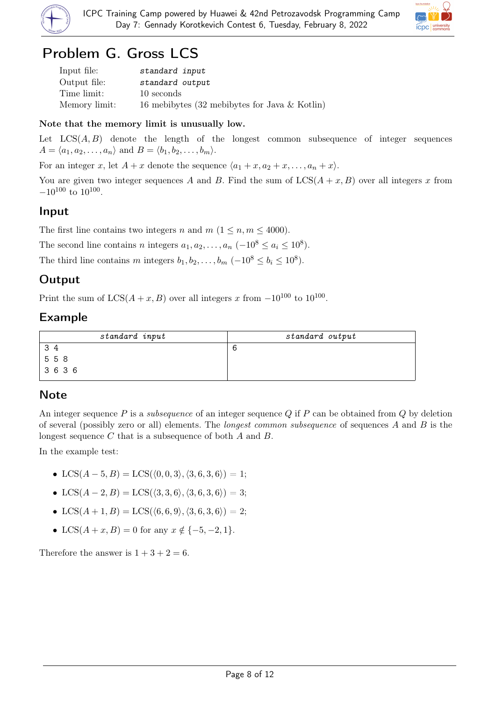



## Problem G. Gross LCS

| Input file:   | standard input                                   |
|---------------|--------------------------------------------------|
| Output file:  | standard output                                  |
| Time limit:   | 10 seconds                                       |
| Memory limit: | 16 mebibytes (32 mebibytes for Java $\&$ Kotlin) |

#### Note that the memory limit is unusually low.

Let  $LCS(A, B)$  denote the length of the longest common subsequence of integer sequences  $A = \langle a_1, a_2, \ldots, a_n \rangle$  and  $B = \langle b_1, b_2, \ldots, b_m \rangle$ .

For an integer x, let  $A + x$  denote the sequence  $\langle a_1 + x, a_2 + x, \ldots, a_n + x \rangle$ .

You are given two integer sequences A and B. Find the sum of  $LCS(A + x, B)$  over all integers x from  $-10^{100}$  to  $10^{100}$ .

## Input

The first line contains two integers n and  $m$   $(1 \leq n, m \leq 4000)$ .

The second line contains n integers  $a_1, a_2, \ldots, a_n$   $(-10^8 \le a_i \le 10^8)$ .

The third line contains m integers  $b_1, b_2, \ldots, b_m$   $(-10^8 \le b_i \le 10^8)$ .

## **Output**

Print the sum of  $LCS(A+x, B)$  over all integers x from  $-10^{100}$  to  $10^{100}$ .

## Example

| standard input | standard output |
|----------------|-----------------|
| 34             |                 |
| 558            |                 |
| 3636           |                 |

## Note

An integer sequence  $P$  is a *subsequence* of an integer sequence  $Q$  if  $P$  can be obtained from  $Q$  by deletion of several (possibly zero or all) elements. The *longest common subsequence* of sequences A and B is the longest sequence C that is a subsequence of both A and B.

In the example test:

- LCS $(A 5, B) =$ LCS $(\langle 0, 0, 3 \rangle, \langle 3, 6, 3, 6 \rangle) = 1$ ;
- LCS $(A 2, B) =$ LCS $(\langle 3, 3, 6 \rangle, \langle 3, 6, 3, 6 \rangle) = 3$ ;
- LCS $(A + 1, B) =$ LCS $(\langle 6, 6, 9 \rangle, \langle 3, 6, 3, 6 \rangle) = 2;$
- LCS $(A + x, B) = 0$  for any  $x \notin \{-5, -2, 1\}.$

Therefore the answer is  $1 + 3 + 2 = 6$ .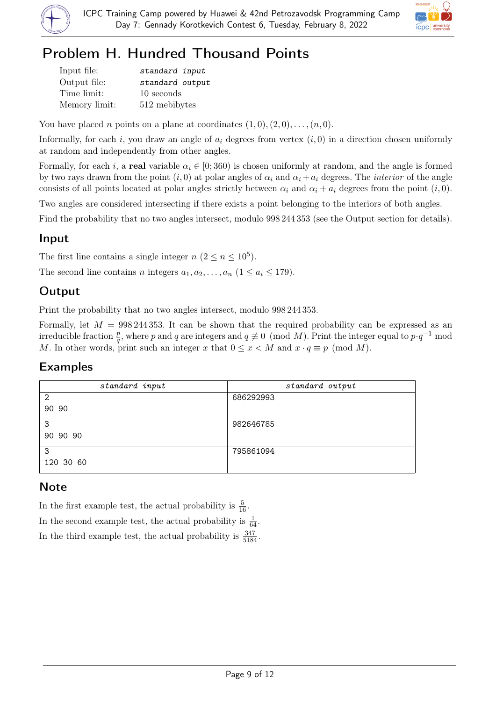



# Problem H. Hundred Thousand Points

| Input file:   | standard input  |
|---------------|-----------------|
| Output file:  | standard output |
| Time limit:   | 10 seconds      |
| Memory limit: | 512 mebibytes   |

You have placed *n* points on a plane at coordinates  $(1,0),(2,0),\ldots,(n,0)$ .

Informally, for each i, you draw an angle of  $a_i$  degrees from vertex  $(i, 0)$  in a direction chosen uniformly at random and independently from other angles.

Formally, for each i, a real variable  $\alpha_i \in [0, 360)$  is chosen uniformly at random, and the angle is formed by two rays drawn from the point  $(i, 0)$  at polar angles of  $\alpha_i$  and  $\alpha_i + a_i$  degrees. The *interior* of the angle consists of all points located at polar angles strictly between  $\alpha_i$  and  $\alpha_i + a_i$  degrees from the point  $(i, 0)$ .

Two angles are considered intersecting if there exists a point belonging to the interiors of both angles.

Find the probability that no two angles intersect, modulo  $998\,244\,353$  (see the Output section for details).

## Input

The first line contains a single integer  $n (2 \le n \le 10^5)$ .

The second line contains n integers  $a_1, a_2, \ldots, a_n$   $(1 \le a_i \le 179)$ .

## **Output**

Print the probability that no two angles intersect, modulo 998 244 353.

Formally, let  $M = 998\,244\,353$ . It can be shown that the required probability can be expressed as an irreducible fraction  $\frac{p}{q}$ , where p and q are integers and  $q \not\equiv 0 \pmod{M}$ . Print the integer equal to  $p \cdot q^{-1}$  mod M. In other words, print such an integer x that  $0 \leq x < M$  and  $x \cdot q \equiv p \pmod{M}$ .

## Examples

| standard input | standard output |
|----------------|-----------------|
| $\overline{2}$ | 686292993       |
| 90 90          |                 |
| 3              | 982646785       |
| 90 90 90       |                 |
| 3              | 795861094       |
| 120 30 60      |                 |

## **Note**

In the first example test, the actual probability is  $\frac{5}{16}$ . In the second example test, the actual probability is  $\frac{1}{64}$ . In the third example test, the actual probability is  $\frac{347}{5184}$ .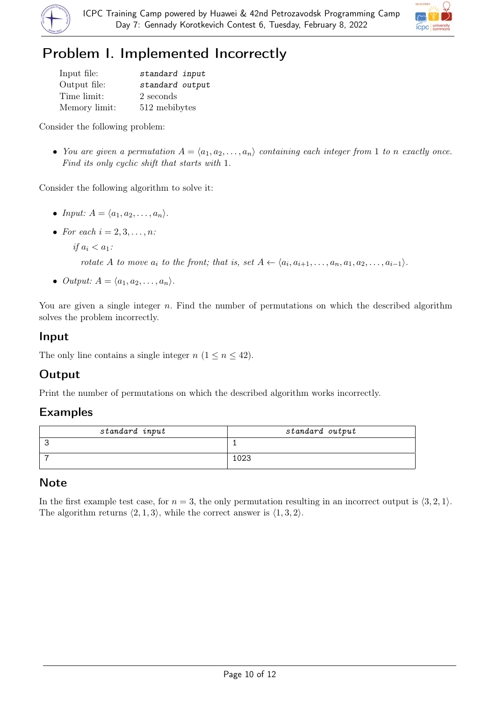



# Problem I. Implemented Incorrectly

| Input file:   | standard input  |
|---------------|-----------------|
| Output file:  | standard output |
| Time limit:   | 2 seconds       |
| Memory limit: | 512 mebibytes   |

Consider the following problem:

• You are given a permutation  $A = \langle a_1, a_2, \ldots, a_n \rangle$  containing each integer from 1 to n exactly once. Find its only cyclic shift that starts with 1.

Consider the following algorithm to solve it:

- Input:  $A = \langle a_1, a_2, \ldots, a_n \rangle$ .
- For each  $i = 2, 3, \ldots, n$ :

if  $a_i < a_1$ :

rotate A to move  $a_i$  to the front; that is, set  $A \leftarrow \langle a_i, a_{i+1}, \ldots, a_n, a_1, a_2, \ldots, a_{i-1} \rangle$ .

• Output:  $A = \langle a_1, a_2, \ldots, a_n \rangle$ .

You are given a single integer n. Find the number of permutations on which the described algorithm solves the problem incorrectly.

## Input

The only line contains a single integer  $n (1 \le n \le 42)$ .

## Output

Print the number of permutations on which the described algorithm works incorrectly.

## Examples

| standard input | standard output |
|----------------|-----------------|
|                |                 |
|                | 1023            |

## **Note**

In the first example test case, for  $n = 3$ , the only permutation resulting in an incorrect output is  $\langle 3, 2, 1 \rangle$ . The algorithm returns  $\langle 2, 1, 3 \rangle$ , while the correct answer is  $\langle 1, 3, 2 \rangle$ .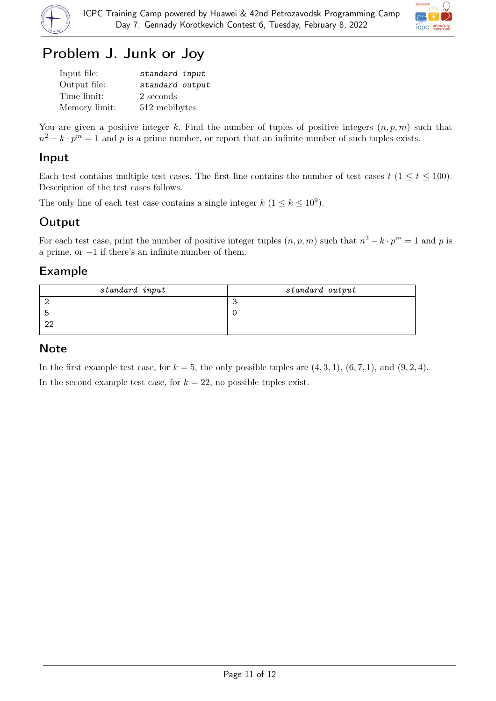



# Problem J. Junk or Joy

| Input file:   | standard input  |
|---------------|-----------------|
| Output file:  | standard output |
| Time limit:   | 2 seconds       |
| Memory limit: | 512 mebibytes   |

You are given a positive integer k. Find the number of tuples of positive integers  $(n, p, m)$  such that  $n^2 - k \cdot p^m = 1$  and p is a prime number, or report that an infinite number of such tuples exists.

## Input

Each test contains multiple test cases. The first line contains the number of test cases  $t$  ( $1 \le t \le 100$ ). Description of the test cases follows.

The only line of each test case contains a single integer  $k$   $(1 \leq k \leq 10^9)$ .

## **Output**

For each test case, print the number of positive integer tuples  $(n, p, m)$  such that  $n^2 - k \cdot p^m = 1$  and p is a prime, or −1 if there's an infinite number of them.

## Example

| standard input | standard output |
|----------------|-----------------|
|                |                 |
| ∽              |                 |
| ററ             |                 |
|                |                 |

## Note

In the first example test case, for  $k = 5$ , the only possible tuples are  $(4, 3, 1)$ ,  $(6, 7, 1)$ , and  $(9, 2, 4)$ . In the second example test case, for  $k = 22$ , no possible tuples exist.